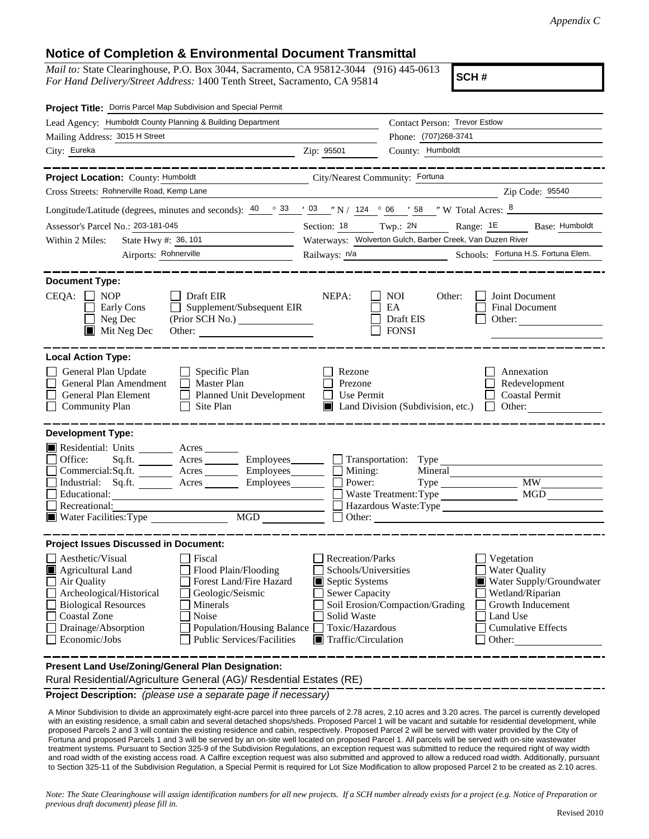## **Notice of Completion & Environmental Document Transmittal**

*Mail to:* State Clearinghouse, P.O. Box 3044, Sacramento, CA 95812-3044 (916) 445-0613 *For Hand Delivery/Street Address:* 1400 Tenth Street, Sacramento, CA 95814

**SCH #**

| Project Title: Dorris Parcel Map Subdivision and Special Permit                                                                                                                                                                                                                                                                                               |                                                           |                                                                                                                                                                                                                                                                                                                                               |                                                      |  |
|---------------------------------------------------------------------------------------------------------------------------------------------------------------------------------------------------------------------------------------------------------------------------------------------------------------------------------------------------------------|-----------------------------------------------------------|-----------------------------------------------------------------------------------------------------------------------------------------------------------------------------------------------------------------------------------------------------------------------------------------------------------------------------------------------|------------------------------------------------------|--|
| Lead Agency: Humboldt County Planning & Building Department                                                                                                                                                                                                                                                                                                   |                                                           | Contact Person: Trevor Estlow                                                                                                                                                                                                                                                                                                                 |                                                      |  |
| Mailing Address: 3015 H Street                                                                                                                                                                                                                                                                                                                                |                                                           | Phone: (707)268-3741                                                                                                                                                                                                                                                                                                                          |                                                      |  |
| City: Eureka<br><u> 1989 - Johann Barn, fransk politik (f. 1989)</u>                                                                                                                                                                                                                                                                                          | Zip: 95501                                                | County: Humboldt                                                                                                                                                                                                                                                                                                                              |                                                      |  |
|                                                                                                                                                                                                                                                                                                                                                               |                                                           |                                                                                                                                                                                                                                                                                                                                               | _______________                                      |  |
| Project Location: County: Humboldt                                                                                                                                                                                                                                                                                                                            | City/Nearest Community: Fortuna                           |                                                                                                                                                                                                                                                                                                                                               |                                                      |  |
| Cross Streets: Rohnerville Road, Kemp Lane                                                                                                                                                                                                                                                                                                                    |                                                           |                                                                                                                                                                                                                                                                                                                                               | Zip Code: 95540                                      |  |
| Longitude/Latitude (degrees, minutes and seconds): $\frac{40}{9}$ $\frac{33}{10}$ $\frac{103}{10}$ $\frac{103}{10}$ $\frac{103}{10}$ $\frac{103}{10}$ $\frac{103}{10}$ $\frac{103}{10}$ $\frac{103}{10}$ $\frac{103}{10}$ $\frac{103}{10}$ $\frac{103}{10}$ $\frac{103}{10}$ $\frac{$                                                                         |                                                           |                                                                                                                                                                                                                                                                                                                                               |                                                      |  |
| Assessor's Parcel No.: 203-181-045                                                                                                                                                                                                                                                                                                                            | Section: 18 Twp.: 2N                                      |                                                                                                                                                                                                                                                                                                                                               | Range: 1E<br>Base: Humboldt                          |  |
| State Hwy #: 36, 101<br>Within 2 Miles:                                                                                                                                                                                                                                                                                                                       | Waterways: Wolverton Gulch, Barber Creek, Van Duzen River |                                                                                                                                                                                                                                                                                                                                               |                                                      |  |
| Airports: Rohnerville                                                                                                                                                                                                                                                                                                                                         |                                                           | Railways: n/a<br>Schools: Fortuna H.S. Fortuna Elem.                                                                                                                                                                                                                                                                                          |                                                      |  |
| <b>Document Type:</b><br>$CEQA: \Box NP$<br>$\Box$ Draft EIR<br>Supplement/Subsequent EIR<br>Early Cons<br>Neg Dec<br>$\blacksquare$ Mit Neg Dec<br>Other:                                                                                                                                                                                                    | NEPA:                                                     | <b>NOI</b><br>Other:<br>EA<br>Draft EIS<br><b>FONSI</b>                                                                                                                                                                                                                                                                                       | Joint Document<br>Final Document<br>Other:           |  |
| <b>Local Action Type:</b><br>General Plan Update<br>Specific Plan<br>General Plan Amendment<br>$\Box$ Master Plan<br>General Plan Element<br><b>Planned Unit Development</b><br>$\Box$<br><b>Community Plan</b><br>Site Plan                                                                                                                                  | Rezone<br>Prezone<br><b>Use Permit</b><br>$\perp$         | $\Box$ Land Division (Subdivision, etc.)                                                                                                                                                                                                                                                                                                      | Annexation<br>Redevelopment<br><b>Coastal Permit</b> |  |
| <b>Development Type:</b>                                                                                                                                                                                                                                                                                                                                      |                                                           |                                                                                                                                                                                                                                                                                                                                               |                                                      |  |
| Residential: Units ________ Acres _______<br>Office:<br>Acres __________ Employees________<br>Sq.ft.<br>Commercial:Sq.ft. Acres Employees<br>Industrial: Sq.ft. _______ Acres _______ Employees_______<br>Educational:<br>Recreational:<br>Water Facilities: Type<br>MGD                                                                                      | Mining:<br>Power:<br>Other:                               | Transportation: Type<br>Mineral<br>Waste Treatment: Type<br>Hazardous Waste:Type<br><u> 1980 - Jan Samuel Barbara, margaret e</u>                                                                                                                                                                                                             | MGD                                                  |  |
| <b>Project Issues Discussed in Document:</b>                                                                                                                                                                                                                                                                                                                  |                                                           |                                                                                                                                                                                                                                                                                                                                               |                                                      |  |
| Aesthetic/Visual<br>Fiscal<br>Flood Plain/Flooding<br>Agricultural Land<br>IШ<br>Forest Land/Fire Hazard<br>Air Quality<br>Archeological/Historical<br>Geologic/Seismic<br><b>Biological Resources</b><br>Minerals<br><b>Coastal Zone</b><br>Noise<br>Drainage/Absorption<br>Population/Housing Balance<br>Economic/Jobs<br><b>Public Services/Facilities</b> | Solid Waste                                               | <b>Recreation/Parks</b><br>Vegetation<br><b>Water Quality</b><br>Schools/Universities<br>Water Supply/Groundwater<br>Septic Systems<br>Sewer Capacity<br>Wetland/Riparian<br>Soil Erosion/Compaction/Grading<br>Growth Inducement<br>Land Use<br>Toxic/Hazardous<br><b>Cumulative Effects</b><br>$\blacksquare$ Traffic/Circulation<br>Other: |                                                      |  |
| Present Land Use/Zoning/General Plan Designation:<br>Rural Residential/Agriculture General (AG)/ Resdential Estates (RE)                                                                                                                                                                                                                                      |                                                           |                                                                                                                                                                                                                                                                                                                                               |                                                      |  |

**Project Description:** *(please use a separate page if necessary)*

 A Minor Subdivision to divide an approximately eight-acre parcel into three parcels of 2.78 acres, 2.10 acres and 3.20 acres. The parcel is currently developed with an existing residence, a small cabin and several detached shops/sheds. Proposed Parcel 1 will be vacant and suitable for residential development, while proposed Parcels 2 and 3 will contain the existing residence and cabin, respectively. Proposed Parcel 2 will be served with water provided by the City of Fortuna and proposed Parcels 1 and 3 will be served by an on-site well located on proposed Parcel 1. All parcels will be served with on-site wastewater treatment systems. Pursuant to Section 325-9 of the Subdivision Regulations, an exception request was submitted to reduce the required right of way width and road width of the existing access road. A Calfire exception request was also submitted and approved to allow a reduced road width. Additionally, pursuant to Section 325-11 of the Subdivision Regulation, a Special Permit is required for Lot Size Modification to allow proposed Parcel 2 to be created as 2.10 acres.

*Note: The State Clearinghouse will assign identification numbers for all new projects. If a SCH number already exists for a project (e.g. Notice of Preparation or previous draft document) please fill in.*